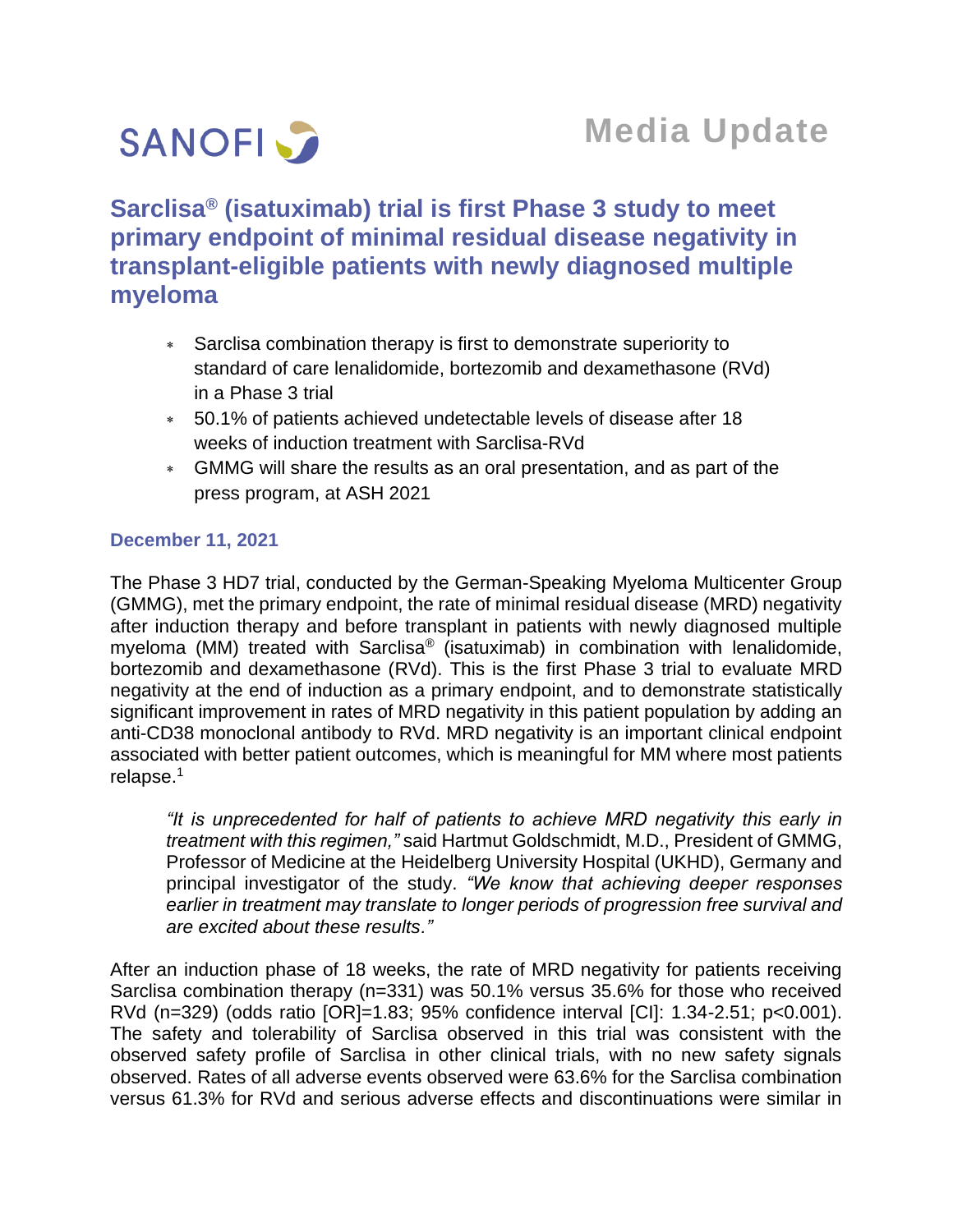

**Sarclisa® (isatuximab) trial is first Phase 3 study to meet primary endpoint of minimal residual disease negativity in transplant-eligible patients with newly diagnosed multiple myeloma**

- Sarclisa combination therapy is first to demonstrate superiority to standard of care lenalidomide, bortezomib and dexamethasone (RVd) in a Phase 3 trial
- 50.1% of patients achieved undetectable levels of disease after 18 weeks of induction treatment with Sarclisa-RVd
- GMMG will share the results as an oral presentation, and as part of the press program, at ASH 2021

# **December 11, 2021**

The Phase 3 HD7 trial, conducted by the German-Speaking Myeloma Multicenter Group (GMMG), met the primary endpoint, the rate of minimal residual disease (MRD) negativity after induction therapy and before transplant in patients with newly diagnosed multiple myeloma (MM) treated with Sarclisa® (isatuximab) in combination with lenalidomide, bortezomib and dexamethasone (RVd). This is the first Phase 3 trial to evaluate MRD negativity at the end of induction as a primary endpoint, and to demonstrate statistically significant improvement in rates of MRD negativity in this patient population by adding an anti-CD38 monoclonal antibody to RVd. MRD negativity is an important clinical endpoint associated with better patient outcomes, which is meaningful for MM where most patients relapse. 1

*"It is unprecedented for half of patients to achieve MRD negativity this early in treatment with this regimen,"* said Hartmut Goldschmidt, M.D., President of GMMG, Professor of Medicine at the Heidelberg University Hospital (UKHD), Germany and principal investigator of the study. *"We know that achieving deeper responses earlier in treatment may translate to longer periods of progression free survival and are excited about these results."*

After an induction phase of 18 weeks, the rate of MRD negativity for patients receiving Sarclisa combination therapy (n=331) was 50.1% versus 35.6% for those who received RVd (n=329) (odds ratio [OR]=1.83; 95% confidence interval [CI]: 1.34-2.51; p<0.001). The safety and tolerability of Sarclisa observed in this trial was consistent with the observed safety profile of Sarclisa in other clinical trials, with no new safety signals observed. Rates of all adverse events observed were 63.6% for the Sarclisa combination versus 61.3% for RVd and serious adverse effects and discontinuations were similar in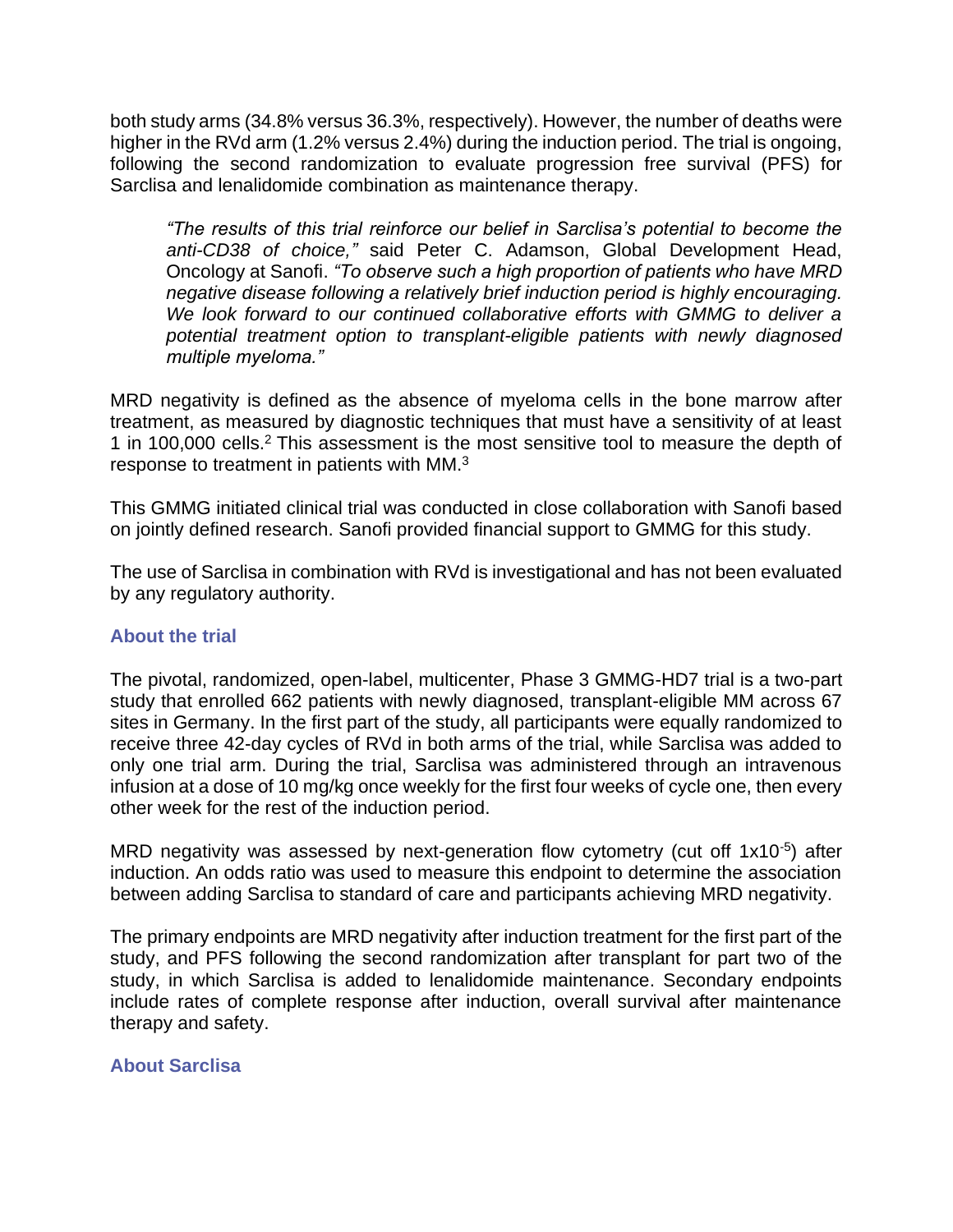both study arms (34.8% versus 36.3%, respectively). However, the number of deaths were higher in the RVd arm (1.2% versus 2.4%) during the induction period. The trial is ongoing, following the second randomization to evaluate progression free survival (PFS) for Sarclisa and lenalidomide combination as maintenance therapy.

*"The results of this trial reinforce our belief in Sarclisa's potential to become the anti-CD38 of choice,"* said Peter C. Adamson, Global Development Head, Oncology at Sanofi. *"To observe such a high proportion of patients who have MRD negative disease following a relatively brief induction period is highly encouraging. We look forward to our continued collaborative efforts with GMMG to deliver a potential treatment option to transplant-eligible patients with newly diagnosed multiple myeloma."*

MRD negativity is defined as the absence of myeloma cells in the bone marrow after treatment, as measured by diagnostic techniques that must have a sensitivity of at least 1 in 100,000 cells.<sup>2</sup> This assessment is the most sensitive tool to measure the depth of response to treatment in patients with MM.<sup>3</sup>

This GMMG initiated clinical trial was conducted in close collaboration with Sanofi based on jointly defined research. Sanofi provided financial support to GMMG for this study.

The use of Sarclisa in combination with RVd is investigational and has not been evaluated by any regulatory authority.

## **About the trial**

The pivotal, randomized, open-label, multicenter, Phase 3 GMMG-HD7 trial is a two-part study that enrolled 662 patients with newly diagnosed, transplant-eligible MM across 67 sites in Germany. In the first part of the study, all participants were equally randomized to receive three 42-day cycles of RVd in both arms of the trial, while Sarclisa was added to only one trial arm. During the trial, Sarclisa was administered through an intravenous infusion at a dose of 10 mg/kg once weekly for the first four weeks of cycle one, then every other week for the rest of the induction period.

MRD negativity was assessed by next-generation flow cytometry (cut off 1x10<sup>-5</sup>) after induction. An odds ratio was used to measure this endpoint to determine the association between adding Sarclisa to standard of care and participants achieving MRD negativity.

The primary endpoints are MRD negativity after induction treatment for the first part of the study, and PFS following the second randomization after transplant for part two of the study, in which Sarclisa is added to lenalidomide maintenance. Secondary endpoints include rates of complete response after induction, overall survival after maintenance therapy and safety.

#### **About Sarclisa**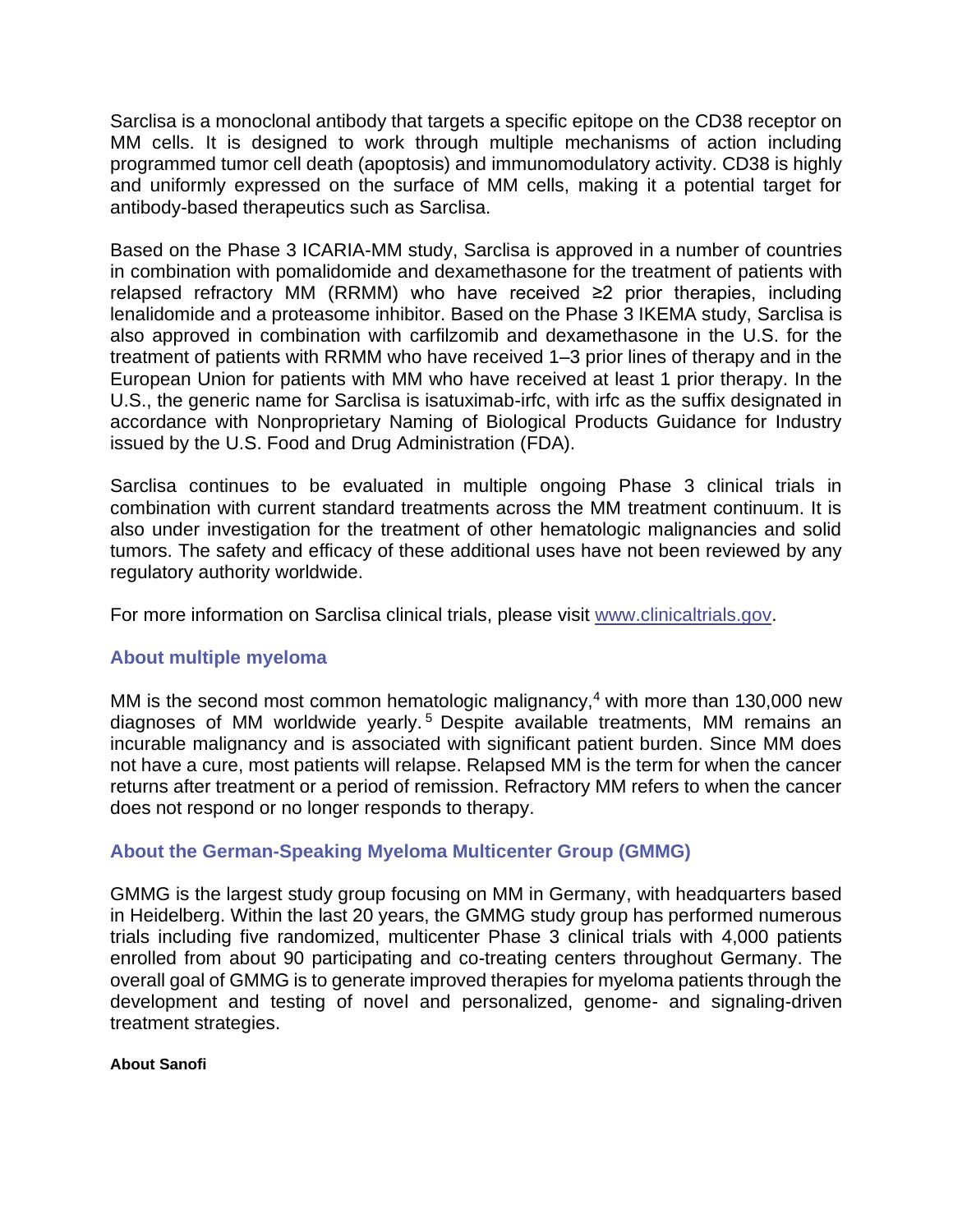Sarclisa is a monoclonal antibody that targets a specific epitope on the CD38 receptor on MM cells. It is designed to work through multiple mechanisms of action including programmed tumor cell death (apoptosis) and immunomodulatory activity. CD38 is highly and uniformly expressed on the surface of MM cells, making it a potential target for antibody-based therapeutics such as Sarclisa.

Based on the Phase 3 ICARIA-MM study, Sarclisa is approved in a number of countries in combination with pomalidomide and dexamethasone for the treatment of patients with relapsed refractory MM (RRMM) who have received ≥2 prior therapies, including lenalidomide and a proteasome inhibitor. Based on the Phase 3 IKEMA study, Sarclisa is also approved in combination with carfilzomib and dexamethasone in the U.S. for the treatment of patients with RRMM who have received 1–3 prior lines of therapy and in the European Union for patients with MM who have received at least 1 prior therapy. In the U.S., the generic name for Sarclisa is isatuximab-irfc, with irfc as the suffix designated in accordance with Nonproprietary Naming of Biological Products Guidance for Industry issued by the U.S. Food and Drug Administration (FDA).

Sarclisa continues to be evaluated in multiple ongoing Phase 3 clinical trials in combination with current standard treatments across the MM treatment continuum. It is also under investigation for the treatment of other hematologic malignancies and solid tumors. The safety and efficacy of these additional uses have not been reviewed by any regulatory authority worldwide.

For more information on Sarclisa clinical trials, please visit [www.clinicaltrials.gov.](http://www.clinicaltrials.gov/)

## **About multiple myeloma**

MM is the second most common hematologic malignancy, $4$  with more than 130,000 new diagnoses of MM worldwide yearly. <sup>5</sup> Despite available treatments, MM remains an incurable malignancy and is associated with significant patient burden. Since MM does not have a cure, most patients will relapse. Relapsed MM is the term for when the cancer returns after treatment or a period of remission. Refractory MM refers to when the cancer does not respond or no longer responds to therapy.

## **About the German-Speaking Myeloma Multicenter Group (GMMG)**

GMMG is the largest study group focusing on MM in Germany, with headquarters based in Heidelberg. Within the last 20 years, the GMMG study group has performed numerous trials including five randomized, multicenter Phase 3 clinical trials with 4,000 patients enrolled from about 90 participating and co-treating centers throughout Germany. The overall goal of GMMG is to generate improved therapies for myeloma patients through the development and testing of novel and personalized, genome- and signaling-driven treatment strategies.

#### **About Sanofi**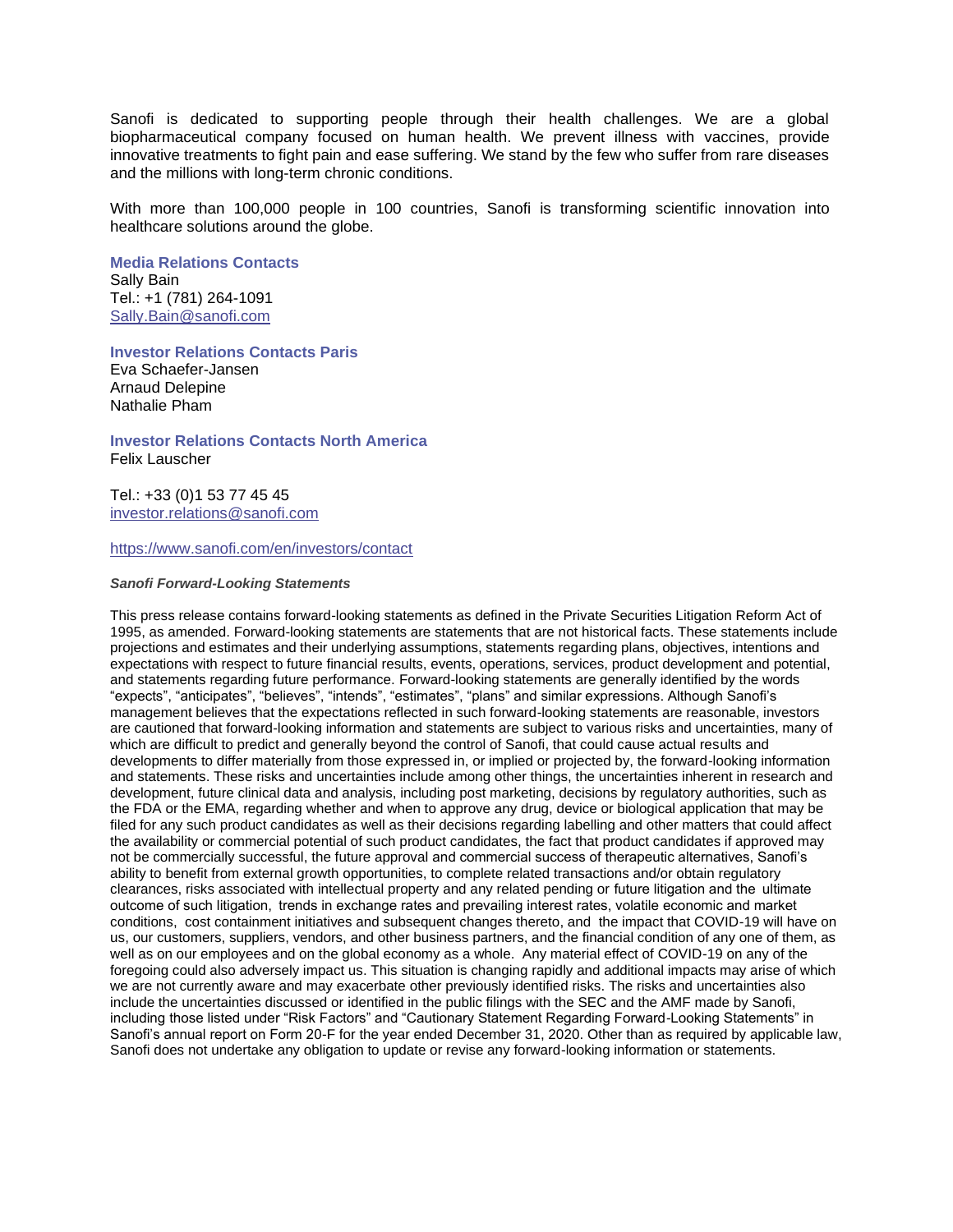Sanofi is dedicated to supporting people through their health challenges. We are a global biopharmaceutical company focused on human health. We prevent illness with vaccines, provide innovative treatments to fight pain and ease suffering. We stand by the few who suffer from rare diseases and the millions with long-term chronic conditions.

With more than 100,000 people in 100 countries, Sanofi is transforming scientific innovation into healthcare solutions around the globe.

**Media Relations Contacts** Sally Bain Tel.: +1 (781) 264-1091 [Sally.Bain@sanofi.com](mailto:Sally.Bain@sanofi.com)

**Investor Relations Contacts Paris**

Eva Schaefer-Jansen Arnaud Delepine Nathalie Pham

**Investor Relations Contacts North America** Felix Lauscher

Tel.: +33 (0)1 53 77 45 45 [investor.relations@sanofi.com](mailto:investor.relations@sanofi.com)

#### <https://www.sanofi.com/en/investors/contact>

#### *Sanofi Forward-Looking Statements*

This press release contains forward-looking statements as defined in the Private Securities Litigation Reform Act of 1995, as amended. Forward-looking statements are statements that are not historical facts. These statements include projections and estimates and their underlying assumptions, statements regarding plans, objectives, intentions and expectations with respect to future financial results, events, operations, services, product development and potential, and statements regarding future performance. Forward-looking statements are generally identified by the words "expects", "anticipates", "believes", "intends", "estimates", "plans" and similar expressions. Although Sanofi's management believes that the expectations reflected in such forward-looking statements are reasonable, investors are cautioned that forward-looking information and statements are subject to various risks and uncertainties, many of which are difficult to predict and generally beyond the control of Sanofi, that could cause actual results and developments to differ materially from those expressed in, or implied or projected by, the forward-looking information and statements. These risks and uncertainties include among other things, the uncertainties inherent in research and development, future clinical data and analysis, including post marketing, decisions by regulatory authorities, such as the FDA or the EMA, regarding whether and when to approve any drug, device or biological application that may be filed for any such product candidates as well as their decisions regarding labelling and other matters that could affect the availability or commercial potential of such product candidates, the fact that product candidates if approved may not be commercially successful, the future approval and commercial success of therapeutic alternatives, Sanofi's ability to benefit from external growth opportunities, to complete related transactions and/or obtain regulatory clearances, risks associated with intellectual property and any related pending or future litigation and the  ultimate outcome of such litigation,  trends in exchange rates and prevailing interest rates, volatile economic and market conditions, cost containment initiatives and subsequent changes thereto, and the impact that COVID-19 will have on us, our customers, suppliers, vendors, and other business partners, and the financial condition of any one of them, as well as on our employees and on the global economy as a whole. Any material effect of COVID-19 on any of the foregoing could also adversely impact us. This situation is changing rapidly and additional impacts may arise of which we are not currently aware and may exacerbate other previously identified risks. The risks and uncertainties also include the uncertainties discussed or identified in the public filings with the SEC and the AMF made by Sanofi, including those listed under "Risk Factors" and "Cautionary Statement Regarding Forward-Looking Statements" in Sanofi's annual report on Form 20-F for the year ended December 31, 2020. Other than as required by applicable law, Sanofi does not undertake any obligation to update or revise any forward-looking information or statements.